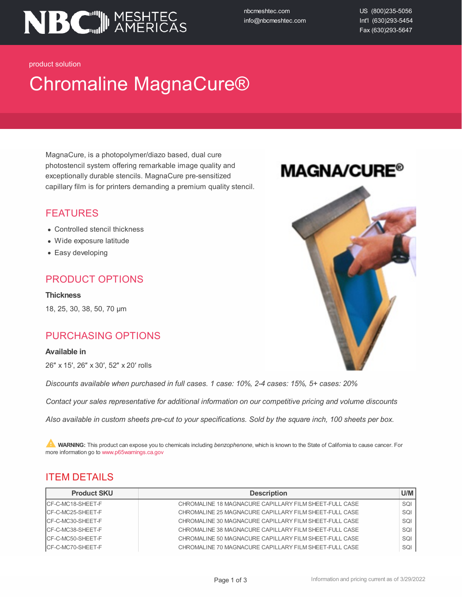

nbcmeshtec.com info@nbcmeshtec.com US (800)235-5056 Int'l (630)293-5454 Fax (630)293-5647

product solution

# Chromaline MagnaCure®

MagnaCure, is a photopolymer/diazo based, dual cure photostencil system offering remarkable image quality and exceptionally durable stencils. MagnaCure pre-sensitized capillary film is for printers demanding a premium quality stencil.

### FEATURES

- Controlled stencil thickness
- Wide exposure latitude
- Easy developing

## PRODUCT OPTIONS

**Thickness** 18, 25, 30, 38, 50, 70 µm

### PURCHASING OPTIONS

#### **Available in**

26″ x 15′, 26″ x 30′, 52″ x 20′ rolls

*Discounts available when purchased in full cases. 1 case: 10%, 2-4 cases: 15%, 5+ cases: 20%*

*Contact your sales representative for additional information on our competitive pricing and volume discounts*

Also available in custom sheets pre-cut to your specifications. Sold by the square inch, 100 sheets per box.

**A.** WARNING: This product can expose you to chemicals including *benzophenone*, which is known to the State of California to cause cancer. For more information go to www.p65warnings.ca.gov

## **ITEM DETAILS**

| <b>Product SKU</b> | <b>Description</b>                                     | U/M |
|--------------------|--------------------------------------------------------|-----|
| ICF-C-MC18-SHEET-F | CHROMALINE 18 MAGNACURE CAPILLARY FILM SHEET-FULL CASE | SQI |
| ICF-C-MC25-SHEET-F | CHROMALINE 25 MAGNACURE CAPILLARY FILM SHEET-FULL CASE | SQI |
| ICF-C-MC30-SHEET-F | CHROMALINE 30 MAGNACURE CAPILLARY FILM SHEET-FULL CASE | SQI |
| ICF-C-MC38-SHEET-F | CHROMALINE 38 MAGNACURE CAPILLARY FILM SHEET-FULL CASE | SQI |
| ICF-C-MC50-SHEET-F | CHROMALINE 50 MAGNACURE CAPILLARY FILM SHEET-FULL CASE | SQI |
| ICF-C-MC70-SHEET-F | CHROMALINE 70 MAGNACURE CAPILLARY FILM SHEET-FULL CASE | SQI |

## **MAGNA/CURE®**

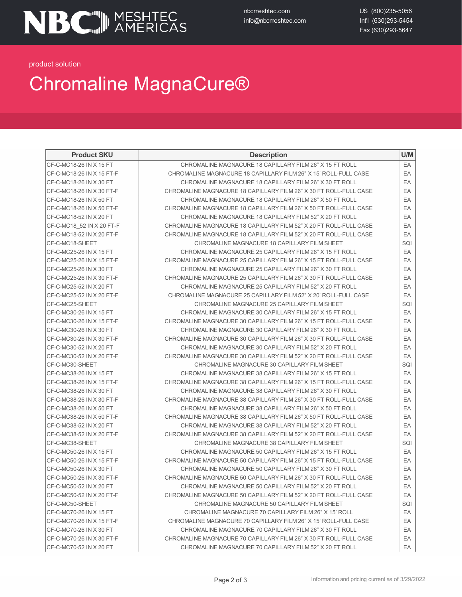nbcmeshtec.com info@nbcmeshtec.com US (800)235-5056 Int'l (630)293-5454 Fax (630)293-5647

product solution

## Chromaline MagnaCure®

| <b>Product SKU</b>        | <b>Description</b>                                                | U/M |
|---------------------------|-------------------------------------------------------------------|-----|
| CF-C-MC18-26 IN X 15 FT   | CHROMALINE MAGNACURE 18 CAPILLARY FILM 26" X 15 FT ROLL           | EA  |
| CF-C-MC18-26 IN X 15 FT-F | CHROMALINE MAGNACURE 18 CAPILLARY FILM 26" X 15' ROLL-FULL CASE   | EA  |
| CF-C-MC18-26 IN X 30 FT   | CHROMALINE MAGNACURE 18 CAPILLARY FILM 26" X 30 FT ROLL           | EA  |
| CF-C-MC18-26 IN X 30 FT-F | CHROMALINE MAGNACURE 18 CAPILLARY FILM 26" X 30 FT ROLL-FULL CASE | EA  |
| CF-C-MC18-26 IN X 50 FT   | CHROMALINE MAGNACURE 18 CAPILLARY FILM 26" X 50 FT ROLL           | EA  |
| CF-C-MC18-26 IN X 50 FT-F | CHROMALINE MAGNACURE 18 CAPILLARY FILM 26" X 50 FT ROLL-FULL CASE | EA  |
| CF-C-MC18-52 IN X 20 FT   | CHROMALINE MAGNACURE 18 CAPILLARY FILM 52" X 20 FT ROLL           | EA  |
| CF-C-MC18_52 IN X 20 FT-F | CHROMALINE MAGNACURE 18 CAPILLARY FILM 52" X 20 FT ROLL-FULL CASE | EA  |
| CF-C-MC18-52 IN X 20 FT-F | CHROMALINE MAGNACURE 18 CAPILLARY FILM 52" X 20 FT ROLL-FULL CASE | EA  |
| CF-C-MC18-SHEET           | CHROMALINE MAGNACURE 18 CAPILLARY FILM SHEET                      | SQI |
| CF-C-MC25-26 IN X 15 FT   | CHROMALINE MAGNACURE 25 CAPILLARY FILM 26" X 15 FT ROLL           | EA  |
| CF-C-MC25-26 IN X 15 FT-F | CHROMALINE MAGNACURE 25 CAPILLARY FILM 26" X 15 FT ROLL-FULL CASE | EA  |
| CF-C-MC25-26 IN X 30 FT   | CHROMALINE MAGNACURE 25 CAPILLARY FILM 26" X 30 FT ROLL           | EA  |
| CF-C-MC25-26 IN X 30 FT-F | CHROMALINE MAGNACURE 25 CAPILLARY FILM 26" X 30 FT ROLL-FULL CASE | EA  |
| CF-C-MC25-52 IN X 20 FT   | CHROMALINE MAGNACURE 25 CAPILLARY FILM 52" X 20 FT ROLL           | EA  |
| CF-C-MC25-52 IN X 20 FT-F | CHROMALINE MAGNACURE 25 CAPILLARY FILM 52" X 20' ROLL-FULL CASE   | EA  |
| CF-C-MC25-SHEET           | CHROMALINE MAGNACURE 25 CAPILLARY FILM SHEET                      | SQI |
| CF-C-MC30-26 IN X 15 FT   | CHROMALINE MAGNACURE 30 CAPILLARY FILM 26" X 15 FT ROLL           | EA  |
| CF-C-MC30-26 IN X 15 FT-F | CHROMALINE MAGNACURE 30 CAPILLARY FILM 26" X 15 FT ROLL-FULL CASE | EA  |
| CF-C-MC30-26 IN X 30 FT   | CHROMALINE MAGNACURE 30 CAPILLARY FILM 26" X 30 FT ROLL           | EA  |
| CF-C-MC30-26 IN X 30 FT-F | CHROMALINE MAGNACURE 30 CAPILLARY FILM 26" X 30 FT ROLL-FULL CASE | EA  |
| CF-C-MC30-52 IN X 20 FT   | CHROMALINE MAGNACURE 30 CAPILLARY FILM 52" X 20 FT ROLL           | EA  |
| CF-C-MC30-52 IN X 20 FT-F | CHROMALINE MAGNACURE 30 CAPILLARY FILM 52" X 20 FT ROLL-FULL CASE | EA  |
| CF-C-MC30-SHEET           | CHROMALINE MAGNACURE 30 CAPILLARY FILM SHEET                      | SQI |
| CF-C-MC38-26 IN X 15 FT   | CHROMALINE MAGNACURE 38 CAPILLARY FILM 26" X 15 FT ROLL           | EA  |
| CF-C-MC38-26 IN X 15 FT-F | CHROMALINE MAGNACURE 38 CAPILLARY FILM 26" X 15 FT ROLL-FULL CASE | EA  |
| CF-C-MC38-26 IN X 30 FT   | CHROMALINE MAGNACURE 38 CAPILLARY FILM 26" X 30 FT ROLL           | EA  |
| CF-C-MC38-26 IN X 30 FT-F | CHROMALINE MAGNACURE 38 CAPILLARY FILM 26" X 30 FT ROLL-FULL CASE | EA  |
| CF-C-MC38-26 IN X 50 FT   | CHROMALINE MAGNACURE 38 CAPILLARY FILM 26" X 50 FT ROLL           | EA  |
| CF-C-MC38-26 IN X 50 FT-F | CHROMALINE MAGNACURE 38 CAPILLARY FILM 26" X 50 FT ROLL-FULL CASE | EA  |
| CF-C-MC38-52 IN X 20 FT   | CHROMALINE MAGNACURE 38 CAPILLARY FILM 52" X 20 FT ROLL           | EA  |
| CF-C-MC38-52 IN X 20 FT-F | CHROMALINE MAGNACURE 38 CAPILLARY FILM 52" X 20 FT ROLL-FULL CASE | EA  |
| CF-C-MC38-SHEET           | CHROMALINE MAGNACURE 38 CAPILLARY FILM SHEET                      | SQI |
| CF-C-MC50-26 IN X 15 FT   | CHROMALINE MAGNACURE 50 CAPILLARY FILM 26" X 15 FT ROLL           | EA  |
| CF-C-MC50-26 IN X 15 FT-F | CHROMALINE MAGNACURE 50 CAPILLARY FILM 26" X 15 FT ROLL-FULL CASE | EA  |
| CF-C-MC50-26 IN X 30 FT   | CHROMALINE MAGNACURE 50 CAPILLARY FILM 26" X 30 FT ROLL           | EA  |
| CF-C-MC50-26 IN X 30 FT-F | CHROMALINE MAGNACURE 50 CAPILLARY FILM 26" X 30 FT ROLL-FULL CASE | EA  |
| CF-C-MC50-52 IN X 20 FT   | CHROMALINE MAGNACURE 50 CAPILLARY FILM 52" X 20 FT ROLL           | EA  |
| CF-C-MC50-52 IN X 20 FT-F | CHROMALINE MAGNACURE 50 CAPILLARY FILM 52" X 20 FT ROLL-FULL CASE | EA  |
| CF-C-MC50-SHEET           | CHROMALINE MAGNACURE 50 CAPILLARY FILM SHEET                      | SQI |
| CF-C-MC70-26 IN X 15 FT   | CHROMALINE MAGNACURE 70 CAPILLARY FILM 26" X 15' ROLL             | EA  |
| CF-C-MC70-26 IN X 15 FT-F | CHROMALINE MAGNACURE 70 CAPILLARY FILM 26" X 15' ROLL-FULL CASE   | EA  |
| CF-C-MC70-26 IN X 30 FT   | CHROMALINE MAGNACURE 70 CAPILLARY FILM 26" X 30 FT ROLL           | EA  |
| CF-C-MC70-26 IN X 30 FT-F | CHROMALINE MAGNACURE 70 CAPILLARY FILM 26" X 30 FT ROLL-FULL CASE | EA  |
| CF-C-MC70-52 IN X 20 FT   | CHROMALINE MAGNACURE 70 CAPILLARY FILM 52" X 20 FT ROLL           | EA  |